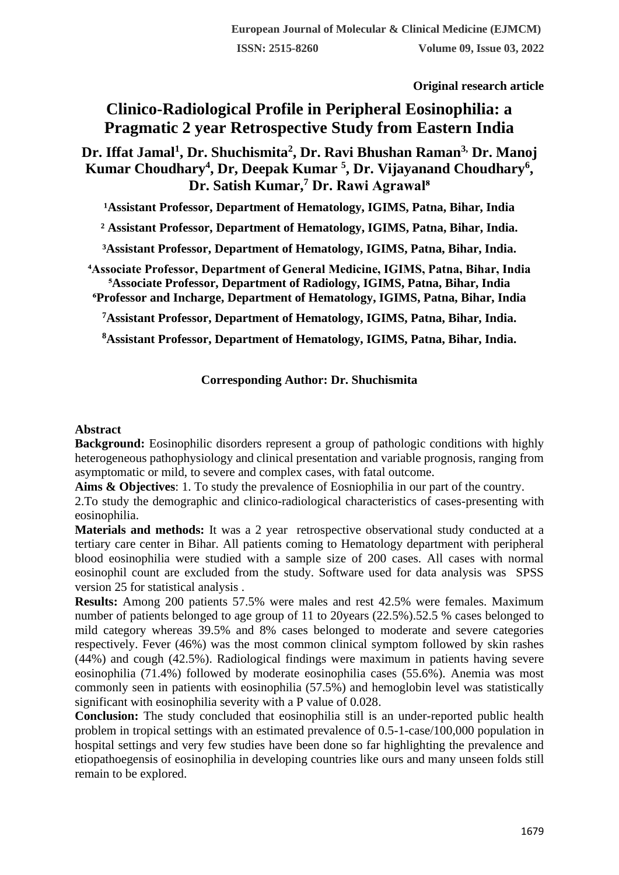**Original research article** 

# **Clinico-Radiological Profile in Peripheral Eosinophilia: a Pragmatic 2 year Retrospective Study from Eastern India**

**Dr. Iffat Jamal<sup>1</sup> , Dr. Shuchismita<sup>2</sup> , Dr. Ravi Bhushan Raman3, Dr. Manoj Kumar Choudhary<sup>4</sup> , Dr, Deepak Kumar <sup>5</sup> , Dr. Vijayanand Choudhary<sup>6</sup> , Dr. Satish Kumar,<sup>7</sup> Dr. Rawi Agrawal⁸**

<sup>1</sup> Assistant Professor, Department of Hematology, IGIMS, Patna, Bihar, India

**² Assistant Professor, Department of Hematology, IGIMS, Patna, Bihar, India.**

**³Assistant Professor, Department of Hematology, IGIMS, Patna, Bihar, India.**

**⁴Associate Professor, Department of General Medicine, IGIMS, Patna, Bihar, India ⁵Associate Professor, Department of Radiology, IGIMS, Patna, Bihar, India ⁶Professor and Incharge, Department of Hematology, IGIMS, Patna, Bihar, India**

**<sup>7</sup>Assistant Professor, Department of Hematology, IGIMS, Patna, Bihar, India.**

**<sup>8</sup>Assistant Professor, Department of Hematology, IGIMS, Patna, Bihar, India.**

# **Corresponding Author: Dr. Shuchismita**

### **Abstract**

**Background:** Eosinophilic disorders represent a group of pathologic conditions with highly heterogeneous pathophysiology and clinical presentation and variable prognosis, ranging from asymptomatic or mild, to severe and complex cases, with fatal outcome.

**Aims & Objectives**: 1. To study the prevalence of Eosniophilia in our part of the country.

2.To study the demographic and clinico-radiological characteristics of cases-presenting with eosinophilia.

**Materials and methods:** It was a 2 year retrospective observational study conducted at a tertiary care center in Bihar. All patients coming to Hematology department with peripheral blood eosinophilia were studied with a sample size of 200 cases. All cases with normal eosinophil count are excluded from the study. Software used for data analysis was SPSS version 25 for statistical analysis .

**Results:** Among 200 patients 57.5% were males and rest 42.5% were females. Maximum number of patients belonged to age group of 11 to 20years (22.5%).52.5 % cases belonged to mild category whereas 39.5% and 8% cases belonged to moderate and severe categories respectively. Fever (46%) was the most common clinical symptom followed by skin rashes (44%) and cough (42.5%). Radiological findings were maximum in patients having severe eosinophilia (71.4%) followed by moderate eosinophilia cases (55.6%). Anemia was most commonly seen in patients with eosinophilia (57.5%) and hemoglobin level was statistically significant with eosinophilia severity with a P value of 0.028.

**Conclusion:** The study concluded that eosinophilia still is an under-reported public health problem in tropical settings with an estimated prevalence of 0.5-1-case/100,000 population in hospital settings and very few studies have been done so far highlighting the prevalence and etiopathoegensis of eosinophilia in developing countries like ours and many unseen folds still remain to be explored.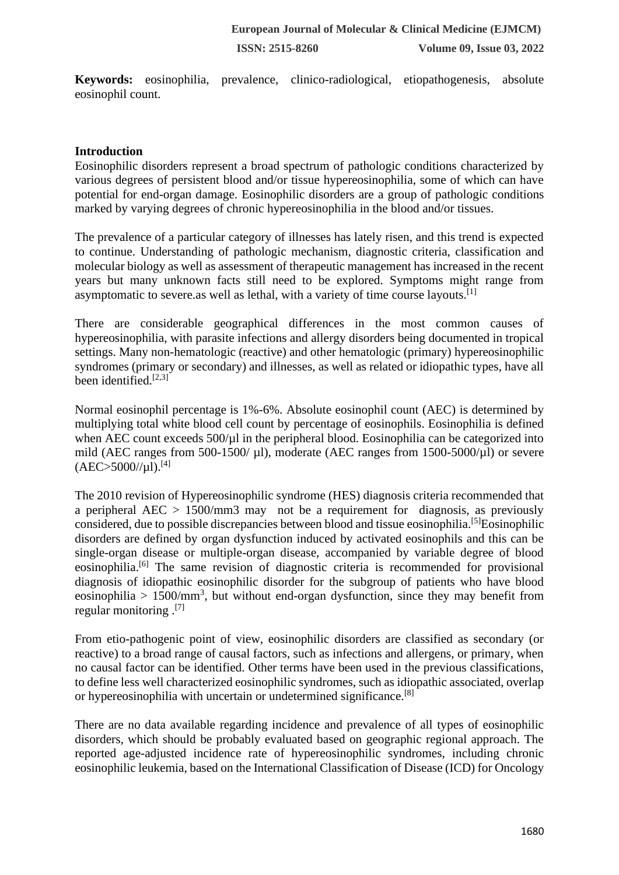**Keywords:** eosinophilia, prevalence, clinico-radiological, etiopathogenesis, absolute eosinophil count.

# **Introduction**

Eosinophilic disorders represent a broad spectrum of pathologic conditions characterized by various degrees of persistent blood and/or tissue hypereosinophilia, some of which can have potential for end-organ damage. Eosinophilic disorders are a group of pathologic conditions marked by varying degrees of chronic hypereosinophilia in the blood and/or tissues.

The prevalence of a particular category of illnesses has lately risen, and this trend is expected to continue. Understanding of pathologic mechanism, diagnostic criteria, classification and molecular biology as well as assessment of therapeutic management has increased in the recent years but many unknown facts still need to be explored. Symptoms might range from asymptomatic to severe.as well as lethal, with a variety of time course layouts.<sup>[1]</sup>

There are considerable geographical differences in the most common causes of hypereosinophilia, with parasite infections and allergy disorders being documented in tropical settings. Many non-hematologic (reactive) and other hematologic (primary) hypereosinophilic syndromes (primary or secondary) and illnesses, as well as related or idiopathic types, have all been identified. $[2,3]$ 

Normal eosinophil percentage is 1%-6%. Absolute eosinophil count (AEC) is determined by multiplying total white blood cell count by percentage of eosinophils. Eosinophilia is defined when AEC count exceeds  $500/\mu$  in the peripheral blood. Eosinophilia can be categorized into mild (AEC ranges from  $500-1500/ \mu$ l), moderate (AEC ranges from 1500-5000/ $\mu$ l) or severe  $(AEC > 5000/|\mu|)$ .[4]

The 2010 revision of Hypereosinophilic syndrome (HES) diagnosis criteria recommended that a peripheral AEC > 1500/mm3 may not be a requirement for diagnosis, as previously considered, due to possible discrepancies between blood and tissue eosinophilia.<sup>[5]</sup>Eosinophilic disorders are defined by organ dysfunction induced by activated eosinophils and this can be single-organ disease or multiple-organ disease, accompanied by variable degree of blood eosinophilia.[6] The same revision of diagnostic criteria is recommended for provisional diagnosis of idiopathic eosinophilic disorder for the subgroup of patients who have blood eosinophilia >  $1500/\text{mm}^3$ , but without end-organ dysfunction, since they may benefit from regular monitoring .[7]

From etio-pathogenic point of view, eosinophilic disorders are classified as secondary (or reactive) to a broad range of causal factors, such as infections and allergens, or primary, when no causal factor can be identified. Other terms have been used in the previous classifications, to define less well characterized eosinophilic syndromes, such as idiopathic associated, overlap or hypereosinophilia with uncertain or undetermined significance.[8]

There are no data available regarding incidence and prevalence of all types of eosinophilic disorders, which should be probably evaluated based on geographic regional approach. The reported age-adjusted incidence rate of hypereosinophilic syndromes, including chronic eosinophilic leukemia, based on the International Classification of Disease (ICD) for Oncology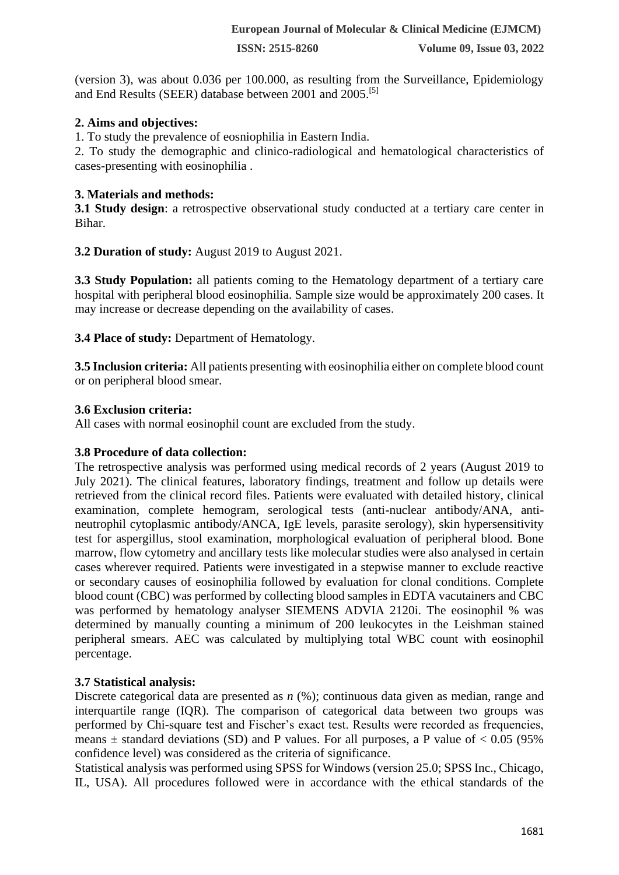(version 3), was about 0.036 per 100.000, as resulting from the Surveillance, Epidemiology and End Results (SEER) database between 2001 and 2005.[5]

# **2. Aims and objectives:**

1. To study the prevalence of eosniophilia in Eastern India.

2. To study the demographic and clinico-radiological and hematological characteristics of cases-presenting with eosinophilia .

### **3. Materials and methods:**

**3.1 Study design:** a retrospective observational study conducted at a tertiary care center in Bihar.

**3.2 Duration of study:** August 2019 to August 2021.

**3.3 Study Population:** all patients coming to the Hematology department of a tertiary care hospital with peripheral blood eosinophilia. Sample size would be approximately 200 cases. It may increase or decrease depending on the availability of cases.

**3.4 Place of study:** Department of Hematology.

**3.5 Inclusion criteria:** All patients presenting with eosinophilia either on complete blood count or on peripheral blood smear.

### **3.6 Exclusion criteria:**

All cases with normal eosinophil count are excluded from the study.

# **3.8 Procedure of data collection:**

The retrospective analysis was performed using medical records of 2 years (August 2019 to July 2021). The clinical features, laboratory findings, treatment and follow up details were retrieved from the clinical record files. Patients were evaluated with detailed history, clinical examination, complete hemogram, serological tests (anti-nuclear antibody/ANA, antineutrophil cytoplasmic antibody/ANCA, IgE levels, parasite serology), skin hypersensitivity test for aspergillus, stool examination, morphological evaluation of peripheral blood. Bone marrow, flow cytometry and ancillary tests like molecular studies were also analysed in certain cases wherever required. Patients were investigated in a stepwise manner to exclude reactive or secondary causes of eosinophilia followed by evaluation for clonal conditions. Complete blood count (CBC) was performed by collecting blood samples in EDTA vacutainers and CBC was performed by hematology analyser SIEMENS ADVIA 2120i. The eosinophil % was determined by manually counting a minimum of 200 leukocytes in the Leishman stained peripheral smears. AEC was calculated by multiplying total WBC count with eosinophil percentage.

# **3.7 Statistical analysis:**

Discrete categorical data are presented as *n* (%); continuous data given as median, range and interquartile range (IQR). The comparison of categorical data between two groups was performed by Chi-square test and Fischer's exact test. Results were recorded as frequencies, means  $\pm$  standard deviations (SD) and P values. For all purposes, a P value of  $< 0.05$  (95%) confidence level) was considered as the criteria of significance.

Statistical analysis was performed using SPSS for Windows (version 25.0; SPSS Inc., Chicago, IL, USA). All procedures followed were in accordance with the ethical standards of the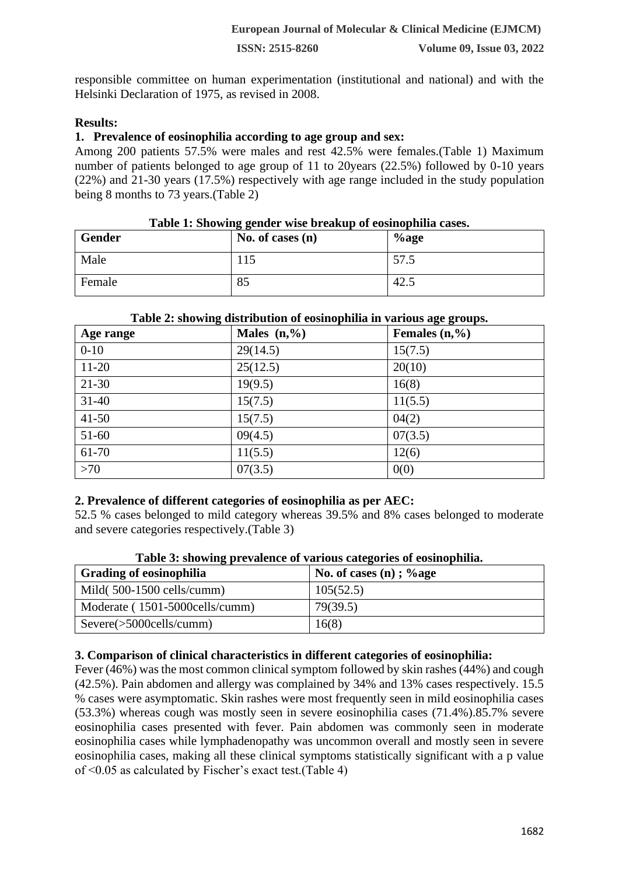responsible committee on human experimentation (institutional and national) and with the Helsinki Declaration of 1975, as revised in 2008.

# **Results:**

# **1. Prevalence of eosinophilia according to age group and sex:**

Among 200 patients 57.5% were males and rest 42.5% were females.(Table 1) Maximum number of patients belonged to age group of 11 to 20years (22.5%) followed by 0-10 years (22%) and 21-30 years (17.5%) respectively with age range included in the study population being 8 months to 73 years.(Table 2)

| Gender | Lable 1. Showing genuer wise breakup of cosmophina cases.<br>No. of cases $(n)$ | $\%$ age |  |
|--------|---------------------------------------------------------------------------------|----------|--|
| Male   | 115                                                                             | 57.5     |  |
| Female | 85                                                                              | 42.1     |  |

# **Table 1: Showing gender wise breakup of eosinophilia cases.**

| Age range | Males $(n, %$ | Females $(n, %$ |  |  |
|-----------|---------------|-----------------|--|--|
| $0 - 10$  | 29(14.5)      | 15(7.5)         |  |  |
| $11-20$   | 25(12.5)      | 20(10)          |  |  |
| $21-30$   | 19(9.5)       | 16(8)           |  |  |
| $31 - 40$ | 15(7.5)       | 11(5.5)         |  |  |
| $41 - 50$ | 15(7.5)       | 04(2)           |  |  |
| 51-60     | 09(4.5)       | 07(3.5)         |  |  |
| 61-70     | 11(5.5)       | 12(6)           |  |  |
| >70       | 07(3.5)       | 0(0)            |  |  |

#### **Table 2: showing distribution of eosinophilia in various age groups.**

# **2. Prevalence of different categories of eosinophilia as per AEC:**

52.5 % cases belonged to mild category whereas 39.5% and 8% cases belonged to moderate and severe categories respectively.(Table 3)

| ິ<br><b>Grading of eosinophilia</b>  | No. of cases (n); $\%$ age |
|--------------------------------------|----------------------------|
| Mild $(500-1500 \text{ cells/cumm})$ | 105(52.5)                  |
| Moderate (1501-5000cells/cumm)       | 79(39.5)                   |
| Severe(>5000cells/cumm)              | 16(8)                      |

### **Table 3: showing prevalence of various categories of eosinophilia.**

### **3. Comparison of clinical characteristics in different categories of eosinophilia:**

Fever (46%) was the most common clinical symptom followed by skin rashes (44%) and cough (42.5%). Pain abdomen and allergy was complained by 34% and 13% cases respectively. 15.5 % cases were asymptomatic. Skin rashes were most frequently seen in mild eosinophilia cases (53.3%) whereas cough was mostly seen in severe eosinophilia cases (71.4%).85.7% severe eosinophilia cases presented with fever. Pain abdomen was commonly seen in moderate eosinophilia cases while lymphadenopathy was uncommon overall and mostly seen in severe eosinophilia cases, making all these clinical symptoms statistically significant with a p value of <0.05 as calculated by Fischer's exact test.(Table 4)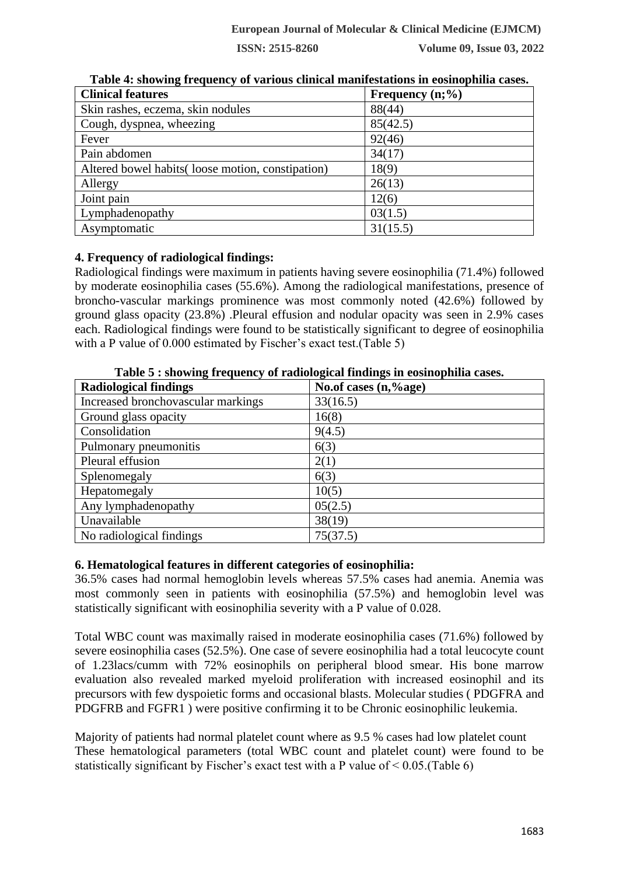| <b>Clinical features</b>                          | Frequency $(n;\%)$ |
|---------------------------------------------------|--------------------|
| Skin rashes, eczema, skin nodules                 | 88(44)             |
| Cough, dyspnea, wheezing                          | 85(42.5)           |
| Fever                                             | 92(46)             |
| Pain abdomen                                      | 34(17)             |
| Altered bowel habits (loose motion, constipation) | 18(9)              |
| Allergy                                           | 26(13)             |
| Joint pain                                        | 12(6)              |
| Lymphadenopathy                                   | 03(1.5)            |
| Asymptomatic                                      | 31(15.5)           |

**Table 4: showing frequency of various clinical manifestations in eosinophilia cases.**

# **4. Frequency of radiological findings:**

Radiological findings were maximum in patients having severe eosinophilia (71.4%) followed by moderate eosinophilia cases (55.6%). Among the radiological manifestations, presence of broncho-vascular markings prominence was most commonly noted (42.6%) followed by ground glass opacity (23.8%) .Pleural effusion and nodular opacity was seen in 2.9% cases each. Radiological findings were found to be statistically significant to degree of eosinophilia with a P value of 0.000 estimated by Fischer's exact test.(Table 5)

**Table 5 : showing frequency of radiological findings in eosinophilia cases.**

| <b>Radiological findings</b>       | No.of cases (n,%age) |
|------------------------------------|----------------------|
| Increased bronchovascular markings | 33(16.5)             |
| Ground glass opacity               | 16(8)                |
| Consolidation                      | 9(4.5)               |
| Pulmonary pneumonitis              | 6(3)                 |
| Pleural effusion                   | 2(1)                 |
| Splenomegaly                       | 6(3)                 |
| Hepatomegaly                       | 10(5)                |
| Any lymphadenopathy                | 05(2.5)              |
| Unavailable                        | 38(19)               |
| No radiological findings           | 75(37.5)             |

# **6. Hematological features in different categories of eosinophilia:**

36.5% cases had normal hemoglobin levels whereas 57.5% cases had anemia. Anemia was most commonly seen in patients with eosinophilia (57.5%) and hemoglobin level was statistically significant with eosinophilia severity with a P value of 0.028.

Total WBC count was maximally raised in moderate eosinophilia cases (71.6%) followed by severe eosinophilia cases (52.5%). One case of severe eosinophilia had a total leucocyte count of 1.23lacs/cumm with 72% eosinophils on peripheral blood smear. His bone marrow evaluation also revealed marked myeloid proliferation with increased eosinophil and its precursors with few dyspoietic forms and occasional blasts. Molecular studies ( PDGFRA and PDGFRB and FGFR1 ) were positive confirming it to be Chronic eosinophilic leukemia.

Majority of patients had normal platelet count where as 9.5 % cases had low platelet count These hematological parameters (total WBC count and platelet count) were found to be statistically significant by Fischer's exact test with a P value of  $\leq 0.05$ . (Table 6)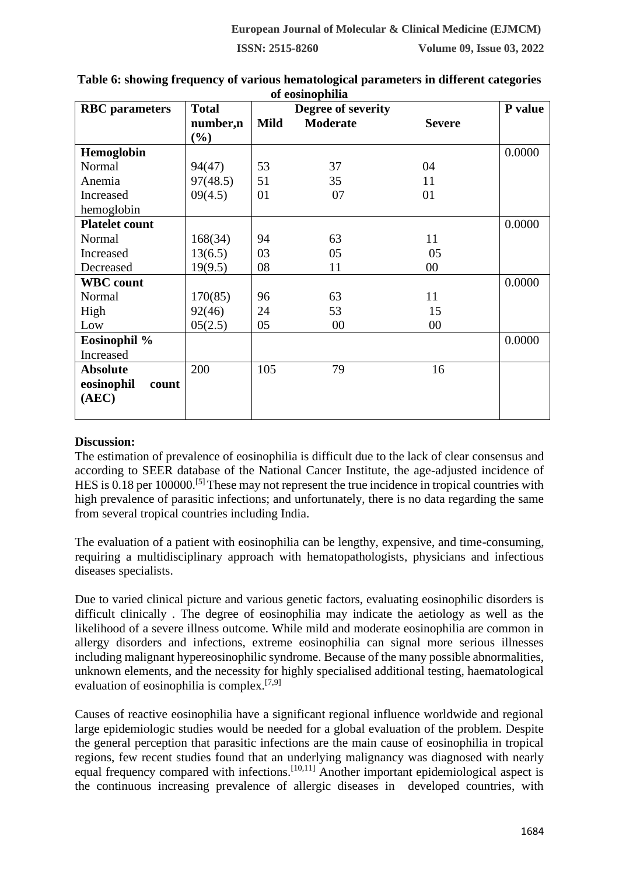| <b>RBC</b> parameters | <b>Total</b>       |             | от сомпорнита<br>Degree of severity |               | P value |
|-----------------------|--------------------|-------------|-------------------------------------|---------------|---------|
|                       | number,n<br>$(\%)$ | <b>Mild</b> | <b>Moderate</b>                     | <b>Severe</b> |         |
| Hemoglobin            |                    |             |                                     |               | 0.0000  |
| Normal                | 94(47)             | 53          | 37                                  | 04            |         |
| Anemia                | 97(48.5)           | 51          | 35                                  | 11            |         |
| Increased             | 09(4.5)            | 01          | 07                                  | 01            |         |
| hemoglobin            |                    |             |                                     |               |         |
| <b>Platelet count</b> |                    |             |                                     |               | 0.0000  |
| Normal                | 168(34)            | 94          | 63                                  | 11            |         |
| Increased             | 13(6.5)            | 03          | 05                                  | 05            |         |
| Decreased             | 19(9.5)            | 08          | 11                                  | 00            |         |
| <b>WBC</b> count      |                    |             |                                     |               | 0.0000  |
| Normal                | 170(85)            | 96          | 63                                  | 11            |         |
| High                  | 92(46)             | 24          | 53                                  | 15            |         |
| Low                   | 05(2.5)            | 05          | 00                                  | 00            |         |
| Eosinophil %          |                    |             |                                     |               | 0.0000  |
| Increased             |                    |             |                                     |               |         |
| <b>Absolute</b>       | 200                | 105         | 79                                  | 16            |         |
| eosinophil<br>count   |                    |             |                                     |               |         |
| (AEC)                 |                    |             |                                     |               |         |
|                       |                    |             |                                     |               |         |

#### **Table 6: showing frequency of various hematological parameters in different categories of eosinophilia**

# **Discussion:**

The estimation of prevalence of eosinophilia is difficult due to the lack of clear consensus and according to SEER database of the National Cancer Institute, the age-adjusted incidence of HES is 0.18 per 100000.<sup>[5]</sup> These may not represent the true incidence in tropical countries with high prevalence of parasitic infections; and unfortunately, there is no data regarding the same from several tropical countries including India.

The evaluation of a patient with eosinophilia can be lengthy, expensive, and time-consuming, requiring a multidisciplinary approach with hematopathologists, physicians and infectious diseases specialists.

Due to varied clinical picture and various genetic factors, evaluating eosinophilic disorders is difficult clinically . The degree of eosinophilia may indicate the aetiology as well as the likelihood of a severe illness outcome. While mild and moderate eosinophilia are common in allergy disorders and infections, extreme eosinophilia can signal more serious illnesses including malignant hypereosinophilic syndrome. Because of the many possible abnormalities, unknown elements, and the necessity for highly specialised additional testing, haematological evaluation of eosinophilia is complex.[7,9]

Causes of reactive eosinophilia have a significant regional influence worldwide and regional large epidemiologic studies would be needed for a global evaluation of the problem. Despite the general perception that parasitic infections are the main cause of eosinophilia in tropical regions, few recent studies found that an underlying malignancy was diagnosed with nearly equal frequency compared with infections.<sup>[10,11]</sup> Another important epidemiological aspect is the continuous increasing prevalence of allergic diseases in developed countries, with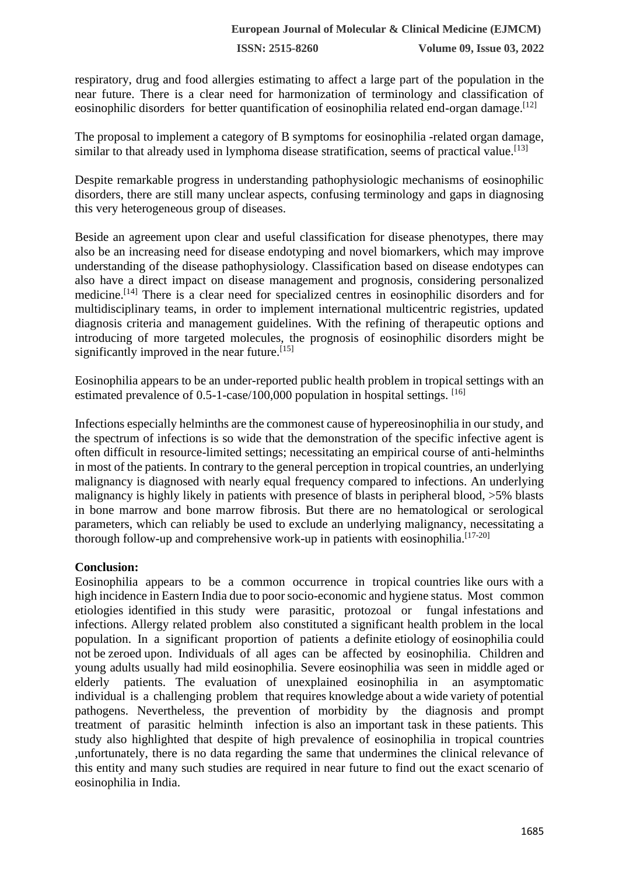respiratory, drug and food allergies estimating to affect a large part of the population in the near future. There is a clear need for harmonization of terminology and classification of eosinophilic disorders for better quantification of eosinophilia related end-organ damage.<sup>[12]</sup>

The proposal to implement a category of B symptoms for eosinophilia -related organ damage, similar to that already used in lymphoma disease stratification, seems of practical value.<sup>[13]</sup>

Despite remarkable progress in understanding pathophysiologic mechanisms of eosinophilic disorders, there are still many unclear aspects, confusing terminology and gaps in diagnosing this very heterogeneous group of diseases.

Beside an agreement upon clear and useful classification for disease phenotypes, there may also be an increasing need for disease endotyping and novel biomarkers, which may improve understanding of the disease pathophysiology. Classification based on disease endotypes can also have a direct impact on disease management and prognosis, considering personalized medicine.<sup>[14]</sup> There is a clear need for specialized centres in eosinophilic disorders and for multidisciplinary teams, in order to implement international multicentric registries, updated diagnosis criteria and management guidelines. With the refining of therapeutic options and introducing of more targeted molecules, the prognosis of eosinophilic disorders might be significantly improved in the near future.  $[15]$ 

Eosinophilia appears to be an under-reported public health problem in tropical settings with an estimated prevalence of  $0.5$ -1-case/100,000 population in hospital settings.  $[16]$ 

Infections especially helminths are the commonest cause of hypereosinophilia in our study, and the spectrum of infections is so wide that the demonstration of the specific infective agent is often difficult in resource-limited settings; necessitating an empirical course of anti-helminths in most of the patients. In contrary to the general perception in tropical countries, an underlying malignancy is diagnosed with nearly equal frequency compared to infections. An underlying malignancy is highly likely in patients with presence of blasts in peripheral blood, >5% blasts in bone marrow and bone marrow fibrosis. But there are no hematological or serological parameters, which can reliably be used to exclude an underlying malignancy, necessitating a thorough follow-up and comprehensive work-up in patients with eosinophilia.<sup>[17-20]</sup>

# **Conclusion:**

Eosinophilia appears to be a common occurrence in tropical countries like ours with a high incidence in Eastern India due to poor socio-economic and hygiene status. Most common etiologies identified in this study were parasitic, protozoal or fungal infestations and infections. Allergy related problem also constituted a significant health problem in the local population. In a significant proportion of patients a definite etiology of eosinophilia could not be zeroed upon. Individuals of all ages can be affected by eosinophilia. Children and young adults usually had mild eosinophilia. Severe eosinophilia was seen in middle aged or elderly patients. The evaluation of unexplained eosinophilia in an asymptomatic individual is a challenging problem that requires knowledge about a wide variety of potential pathogens. Nevertheless, the prevention of morbidity by the diagnosis and prompt treatment of parasitic helminth infection is also an important task in these patients. This study also highlighted that despite of high prevalence of eosinophilia in tropical countries ,unfortunately, there is no data regarding the same that undermines the clinical relevance of this entity and many such studies are required in near future to find out the exact scenario of eosinophilia in India.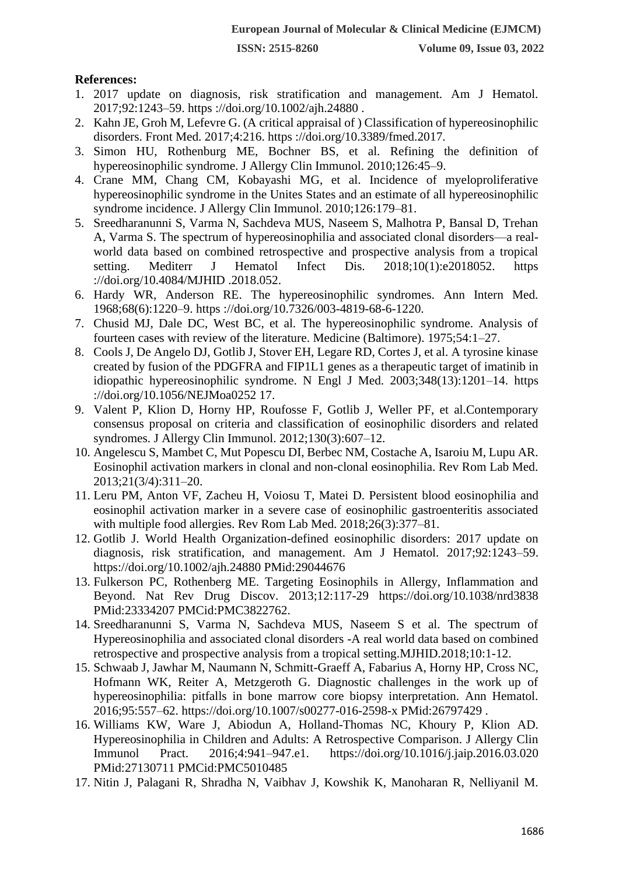### **References:**

- 1. 2017 update on diagnosis, risk stratification and management. Am J Hematol. 2017;92:1243–59. https ://doi.org/10.1002/ajh.24880 .
- 2. Kahn JE, Groh M, Lefevre G. (A critical appraisal of ) Classification of hypereosinophilic disorders. Front Med. 2017;4:216. https ://doi.org/10.3389/fmed.2017.
- 3. Simon HU, Rothenburg ME, Bochner BS, et al. Refining the definition of hypereosinophilic syndrome. J Allergy Clin Immunol. 2010;126:45–9.
- 4. Crane MM, Chang CM, Kobayashi MG, et al. Incidence of myeloproliferative hypereosinophilic syndrome in the Unites States and an estimate of all hypereosinophilic syndrome incidence. J Allergy Clin Immunol. 2010;126:179–81.
- 5. Sreedharanunni S, Varma N, Sachdeva MUS, Naseem S, Malhotra P, Bansal D, Trehan A, Varma S. The spectrum of hypereosinophilia and associated clonal disorders—a realworld data based on combined retrospective and prospective analysis from a tropical setting. Mediterr J Hematol Infect Dis. 2018;10(1):e2018052. https ://doi.org/10.4084/MJHID .2018.052.
- 6. Hardy WR, Anderson RE. The hypereosinophilic syndromes. Ann Intern Med. 1968;68(6):1220–9. https ://doi.org/10.7326/003-4819-68-6-1220.
- 7. Chusid MJ, Dale DC, West BC, et al. The hypereosinophilic syndrome. Analysis of fourteen cases with review of the literature. Medicine (Baltimore). 1975;54:1–27.
- 8. Cools J, De Angelo DJ, Gotlib J, Stover EH, Legare RD, Cortes J, et al. A tyrosine kinase created by fusion of the PDGFRA and FIP1L1 genes as a therapeutic target of imatinib in idiopathic hypereosinophilic syndrome. N Engl J Med. 2003;348(13):1201–14. https ://doi.org/10.1056/NEJMoa0252 17.
- 9. Valent P, Klion D, Horny HP, Roufosse F, Gotlib J, Weller PF, et al.Contemporary consensus proposal on criteria and classification of eosinophilic disorders and related syndromes. J Allergy Clin Immunol. 2012;130(3):607–12.
- 10. Angelescu S, Mambet C, Mut Popescu DI, Berbec NM, Costache A, Isaroiu M, Lupu AR. Eosinophil activation markers in clonal and non-clonal eosinophilia. Rev Rom Lab Med. 2013;21(3/4):311–20.
- 11. Leru PM, Anton VF, Zacheu H, Voiosu T, Matei D. Persistent blood eosinophilia and eosinophil activation marker in a severe case of eosinophilic gastroenteritis associated with multiple food allergies. Rev Rom Lab Med. 2018;26(3):377–81.
- 12. Gotlib J. World Health Organization-defined eosinophilic disorders: 2017 update on diagnosis, risk stratification, and management. Am J Hematol. 2017;92:1243–59. https://doi.org/10.1002/ajh.24880 PMid:29044676
- 13. Fulkerson PC, Rothenberg ME. Targeting Eosinophils in Allergy, Inflammation and Beyond. Nat Rev Drug Discov. 2013;12:117-29 https://doi.org/10.1038/nrd3838 PMid:23334207 PMCid:PMC3822762.
- 14. Sreedharanunni S, Varma N, Sachdeva MUS, Naseem S et al. The spectrum of Hypereosinophilia and associated clonal disorders -A real world data based on combined retrospective and prospective analysis from a tropical setting.MJHID.2018;10:1-12.
- 15. Schwaab J, Jawhar M, Naumann N, Schmitt-Graeff A, Fabarius A, Horny HP, Cross NC, Hofmann WK, Reiter A, Metzgeroth G. Diagnostic challenges in the work up of hypereosinophilia: pitfalls in bone marrow core biopsy interpretation. Ann Hematol. 2016;95:557–62. https://doi.org/10.1007/s00277-016-2598-x PMid:26797429 .
- 16. Williams KW, Ware J, Abiodun A, Holland-Thomas NC, Khoury P, Klion AD. Hypereosinophilia in Children and Adults: A Retrospective Comparison. J Allergy Clin Immunol Pract. 2016;4:941–947.e1. https://doi.org/10.1016/j.jaip.2016.03.020 PMid:27130711 PMCid:PMC5010485
- 17. Nitin J, Palagani R, Shradha N, Vaibhav J, Kowshik K, Manoharan R, Nelliyanil M.